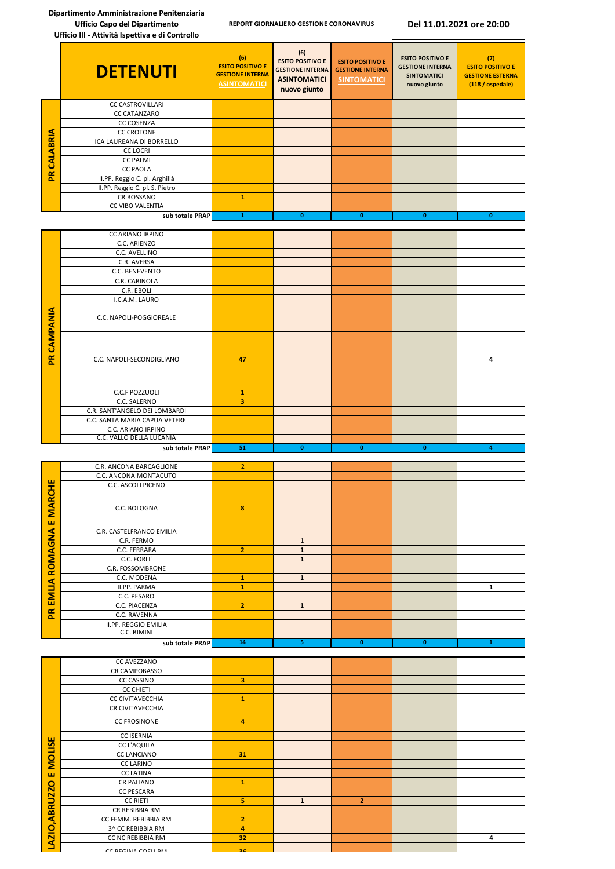**Dipartimento Amministrazione Penitenziaria Ufficio Capo del Dipartimento REPORT GIORNALIERO GESTIONE CORONAVIRUS Del 11.01.2021 ore 20:00 Ufficio III - Attività Ispettiva e di Controllo (6) (6) ESITO POSITIVO E (7) ESITO POSITIVO E ESITO POSITIVO E ESITO POSITIVO E ESITO POSITIVO E DETENUTI GESTIONE INTERNA GESTIONE INTERNA GESTIONE INTERNA GESTIONE INTERNA GESTIONE ESTERNA SINTOMATICI ASINTOMATICI SINTOMATICI nuovo giunto (118 / ospedale) ASINTOMATICI nuovo giunto** CC CASTROVILLARI CC CATANZARO CC COSENZA **PR CALABRIA CC CROTONE** ICA LAUREANA DI BORRELLO CC LOCRI CC PALMI CC PAOLA II.PP. Reggio C. pl. Arghillà II.PP. Reggio C. pl. S. Pietro CR ROSSANO **1** CC VIBO VALENTIA **sub totale PRAP 1 0 0 0 0** CC ARIANO IRPINO C.C. ARIENZO C.C. AVELLINO C.R. AVERSA C.C. BENEVENTO C.R. CARINOLA C.R. EBOLI I.C.A.M. LAURO **PR CAMPANIA** C.C. NAPOLI-POGGIOREALE C.C. NAPOLI-SECONDIGLIANO **47 4C.C.F POZZUOLI**<br> **1**<br> **1**<br> **1**<br> **1**<br> **1**<br> **1**<br> **3** C.C. SALERNO **3** C.R. SANT'ANGELO DEI LOMBARDI C.C. SANTA MARIA CAPUA VETERE C.C. ARIANO IRPINO C.C. VALLO DELLA LUCANIA **sub totale PRAP 51 0 0 0 4** C.R. ANCONA BARCAGLIONE 2 C.C. ANCONA MONTACUTO **EMLIA ROMAGNA E MARCHE PR EMLIA ROMAGNA E MARCHE** C.C. ASCOLI PICENO C.C. BOLOGNA **8** C.R. CASTELFRANCO EMILIA C.R. FERMO **1 1 1 1 1 1** C.C. FERRARA **2 1 C.C. FORLI' 1 1 1 1** C.R. FOSSOMBRONE C.C. MODENA **1 1** II.PP. PARMA **1 1** C.C. PESARO C.C. PIACENZA **2 1**  $\mathbf{R}$ C.C. RAVENNA II.PP. REGGIO EMILIA C.C. RIMINI **sub totale PRAP 14 5 0 0 1**

|                      | CC AVEZZANO          |                         |              |                |   |
|----------------------|----------------------|-------------------------|--------------|----------------|---|
|                      | CR CAMPOBASSO        |                         |              |                |   |
|                      | <b>CC CASSINO</b>    | $\overline{\mathbf{3}}$ |              |                |   |
|                      | <b>CC CHIETI</b>     |                         |              |                |   |
|                      | CC CIVITAVECCHIA     | $\mathbf{1}$            |              |                |   |
|                      | CR CIVITAVECCHIA     |                         |              |                |   |
|                      | <b>CC FROSINONE</b>  | $\overline{4}$          |              |                |   |
|                      | <b>CC ISERNIA</b>    |                         |              |                |   |
| <b>MOLISE</b>        | <b>CC L'AQUILA</b>   |                         |              |                |   |
|                      | <b>CC LANCIANO</b>   | 31                      |              |                |   |
|                      | <b>CC LARINO</b>     |                         |              |                |   |
| ш                    | <b>CC LATINA</b>     |                         |              |                |   |
|                      | <b>CR PALIANO</b>    | $\mathbf{1}$            |              |                |   |
|                      | <b>CC PESCARA</b>    |                         |              |                |   |
|                      | <b>CC RIETI</b>      | 5                       | $\mathbf{1}$ | $\overline{2}$ |   |
|                      | CR REBIBBIA RM       |                         |              |                |   |
|                      | CC FEMM. REBIBBIA RM | $\overline{2}$          |              |                |   |
|                      | 3^ CC REBIBBIA RM    | $\overline{4}$          |              |                |   |
| <b>AZIO, ABRUZZO</b> | CC NC REBIBBIA RM    | 32                      |              |                | 4 |
| ᆜ                    | CC REGINA COELLRM    | 2 <sub>c</sub>          |              |                |   |
|                      |                      |                         |              |                |   |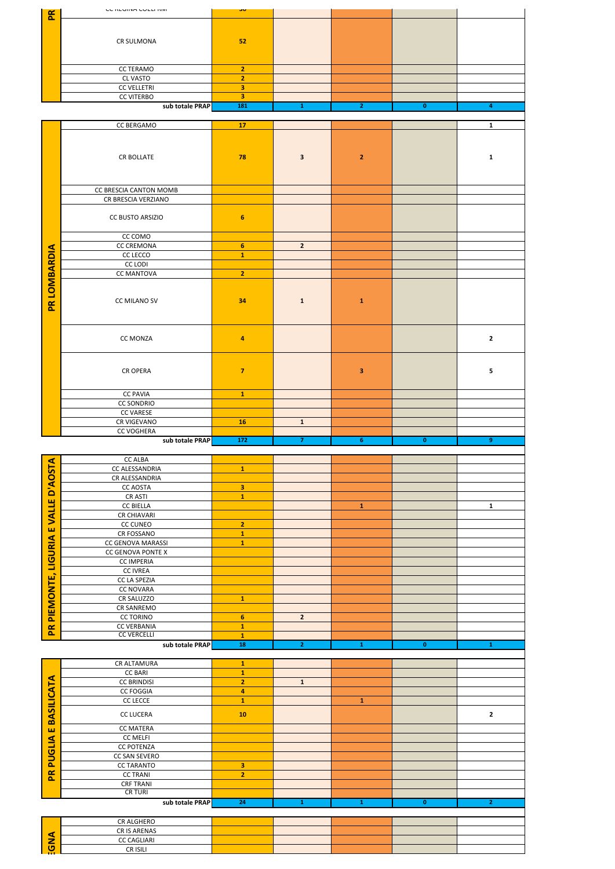| $\mathbf{R}$         | UU INLUTIVA UULLI TIIVI                           | ၁ပ                           |                         |                         |                         |                |
|----------------------|---------------------------------------------------|------------------------------|-------------------------|-------------------------|-------------------------|----------------|
|                      |                                                   |                              |                         |                         |                         |                |
|                      | CR SULMONA                                        | 52                           |                         |                         |                         |                |
|                      | <b>CC TERAMO</b>                                  | $\overline{2}$               |                         |                         |                         |                |
|                      | <b>CL VASTO</b><br><b>CC VELLETRI</b>             | $\overline{2}$<br>3          |                         |                         |                         |                |
|                      | <b>CC VITERBO</b><br>sub totale PRAP              | 3<br>181                     | $\mathbf{1}$            | $\mathbf{2}$            | $\mathbf{0}$            | 4              |
|                      | CC BERGAMO                                        | 17                           |                         |                         |                         | $\mathbf{1}$   |
|                      |                                                   |                              |                         |                         |                         |                |
|                      | <b>CR BOLLATE</b>                                 | 78                           | $\overline{\mathbf{3}}$ | $\mathbf 2$             |                         | $\mathbf{1}$   |
|                      |                                                   |                              |                         |                         |                         |                |
|                      | CC BRESCIA CANTON MOMB<br>CR BRESCIA VERZIANO     |                              |                         |                         |                         |                |
|                      |                                                   |                              |                         |                         |                         |                |
|                      | CC BUSTO ARSIZIO                                  | $6\phantom{1}6$              |                         |                         |                         |                |
|                      | CC COMO<br><b>CC CREMONA</b>                      | $6\phantom{a}$               | $\overline{2}$          |                         |                         |                |
|                      | CC LECCO                                          | $\mathbf{1}$                 |                         |                         |                         |                |
|                      | <b>CC LODI</b>                                    |                              |                         |                         |                         |                |
|                      | <b>CC MANTOVA</b>                                 | $\overline{2}$               |                         |                         |                         |                |
| PR LOMBARDIA         | CC MILANO SV                                      | 34                           | $\mathbf 1$             | $\mathbf 1$             |                         |                |
|                      | CC MONZA                                          | 4                            |                         |                         |                         | $\mathbf{2}$   |
|                      | <b>CR OPERA</b>                                   | $\overline{7}$               |                         | $\overline{\mathbf{3}}$ |                         | 5              |
|                      | <b>CC PAVIA</b>                                   | $\mathbf{1}$                 |                         |                         |                         |                |
|                      | <b>CC SONDRIO</b><br><b>CC VARESE</b>             |                              |                         |                         |                         |                |
|                      | CR VIGEVANO                                       | <b>16</b>                    | $\mathbf 1$             |                         |                         |                |
|                      | <b>CC VOGHERA</b>                                 |                              |                         |                         |                         |                |
|                      | sub totale PRAP                                   | $\overline{172}$             | $\overline{7}$          | 6 <sup>1</sup>          | $\overline{\mathbf{0}}$ | 9 <sub>1</sub> |
|                      | <b>CC ALBA</b>                                    |                              |                         |                         |                         |                |
|                      | CC ALESSANDRIA<br>CR ALESSANDRIA                  | $\mathbf 1$                  |                         |                         |                         |                |
| <b>D'AOSTA</b>       | <b>CC AOSTA</b>                                   | 3                            |                         |                         |                         |                |
|                      | CR ASTI                                           | $\mathbf{1}$                 |                         |                         |                         |                |
| <b>VALLE</b>         | <b>CC BIELLA</b><br>CR CHIAVARI                   |                              |                         | ${\bf 1}$               |                         | $\mathbf{1}$   |
|                      | CC CUNEO                                          | $\overline{2}$               |                         |                         |                         |                |
| $\pmb{\pmb{\omega}}$ | CR FOSSANO                                        | $\mathbf{1}$                 |                         |                         |                         |                |
| RIA                  | CC GENOVA MARASSI                                 | $\mathbf 1$                  |                         |                         |                         |                |
| nen                  | CC GENOVA PONTE X<br><b>CC IMPERIA</b>            |                              |                         |                         |                         |                |
|                      | <b>CC IVREA</b>                                   |                              |                         |                         |                         |                |
|                      | CC LA SPEZIA                                      |                              |                         |                         |                         |                |
|                      | <b>CC NOVARA</b><br>CR SALUZZO                    | $\mathbf{1}$                 |                         |                         |                         |                |
| PIEMONTE,            | CR SANREMO                                        |                              |                         |                         |                         |                |
|                      | <b>CC TORINO</b>                                  | $6\phantom{a}$               | $\overline{2}$          |                         |                         |                |
| $\mathbf{R}$         | <b>CC VERBANIA</b><br><b>CC VERCELLI</b>          | $\mathbf{1}$                 |                         |                         |                         |                |
|                      | sub totale PRAP                                   | $\mathbf 1$<br>18            | $\overline{2}$          | $\mathbf{1}^-$          | $\overline{\mathbf{0}}$ | ${\bf 1}$      |
|                      |                                                   |                              |                         |                         |                         |                |
|                      | CR ALTAMURA<br><b>CC BARI</b>                     | $\mathbf{1}$<br>$\mathbf{1}$ |                         |                         |                         |                |
|                      | <b>CC BRINDISI</b>                                | $\overline{2}$               | $\mathbf 1$             |                         |                         |                |
|                      |                                                   |                              |                         |                         |                         |                |
| ASILICATA            | <b>CC FOGGIA</b><br>$\mathsf{CC}\ \mathsf{LECCE}$ | 4<br>$\mathbf{1}$            |                         | $\mathbf{1}$            |                         |                |

|                   | CR ALTAMURA        | $\mathbf{1}$            |              |              |              |                |
|-------------------|--------------------|-------------------------|--------------|--------------|--------------|----------------|
|                   | <b>CC BARI</b>     | $\mathbf 1$             |              |              |              |                |
|                   | <b>CC BRINDISI</b> | $\overline{2}$          | $\mathbf{1}$ |              |              |                |
|                   | <b>CC FOGGIA</b>   | $\overline{\mathbf{4}}$ |              |              |              |                |
|                   | <b>CC LECCE</b>    | $\mathbf{1}$            |              | $\mathbf{1}$ |              |                |
| <b>BASILICATA</b> | <b>CC LUCERA</b>   | ${\bf 10}$              |              |              |              | $\mathbf{2}$   |
| ш                 | CC MATERA          |                         |              |              |              |                |
|                   | <b>CC MELFI</b>    |                         |              |              |              |                |
| <b>PUGLIA</b>     | <b>CC POTENZA</b>  |                         |              |              |              |                |
|                   | CC SAN SEVERO      |                         |              |              |              |                |
|                   | <b>CC TARANTO</b>  | $\overline{\mathbf{3}}$ |              |              |              |                |
| PR                | <b>CC TRANI</b>    | $\overline{2}$          |              |              |              |                |
|                   | <b>CRF TRANI</b>   |                         |              |              |              |                |
|                   | <b>CR TURI</b>     |                         |              |              |              |                |
|                   | sub totale PRAP    | 24                      | $\mathbf{1}$ | $\mathbf{1}$ | $\mathbf{0}$ | 2 <sub>1</sub> |
|                   |                    |                         |              |              |              |                |
|                   | <b>CR ALGHERO</b>  |                         |              |              |              |                |
|                   | CR IS ARENAS       |                         |              |              |              |                |
| <b>AND:</b>       | <b>CC CAGLIARI</b> |                         |              |              |              |                |
|                   | CR ISILI           |                         |              |              |              |                |
|                   |                    |                         |              |              |              |                |
|                   |                    |                         |              |              |              |                |
|                   |                    |                         |              |              |              |                |
|                   |                    |                         |              |              |              |                |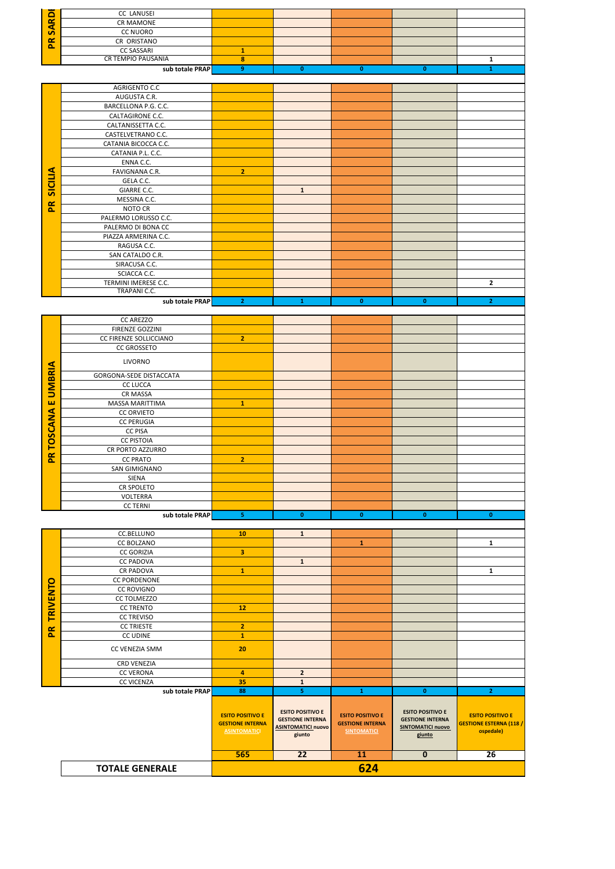|                 | <b>CC LANUSEI</b>                                 |                                                    |                                     |                                                    |                                    |                                                           |
|-----------------|---------------------------------------------------|----------------------------------------------------|-------------------------------------|----------------------------------------------------|------------------------------------|-----------------------------------------------------------|
| <b>SARDE</b>    | <b>CR MAMONE</b>                                  |                                                    |                                     |                                                    |                                    |                                                           |
|                 | <b>CC NUORO</b>                                   |                                                    |                                     |                                                    |                                    |                                                           |
| Æ               | CR ORISTANO                                       |                                                    |                                     |                                                    |                                    |                                                           |
|                 | <b>CC SASSARI</b><br><b>CR TEMPIO PAUSANIA</b>    | $\mathbf{1}$<br>8                                  |                                     |                                                    |                                    | $\mathbf{1}$                                              |
|                 | sub totale PRAP                                   | $\overline{9}$                                     | $\mathbf{0}$                        | $\mathbf{0}$                                       | $\mathbf{0}$                       | $\mathbf{1}$                                              |
|                 |                                                   |                                                    |                                     |                                                    |                                    |                                                           |
|                 | AGRIGENTO C.C<br>AUGUSTA C.R.                     |                                                    |                                     |                                                    |                                    |                                                           |
|                 | BARCELLONA P.G. C.C.                              |                                                    |                                     |                                                    |                                    |                                                           |
|                 | CALTAGIRONE C.C.                                  |                                                    |                                     |                                                    |                                    |                                                           |
|                 | CALTANISSETTA C.C.                                |                                                    |                                     |                                                    |                                    |                                                           |
|                 | CASTELVETRANO C.C.                                |                                                    |                                     |                                                    |                                    |                                                           |
|                 | CATANIA BICOCCA C.C.<br>CATANIA P.L. C.C.         |                                                    |                                     |                                                    |                                    |                                                           |
|                 | ENNA C.C.                                         |                                                    |                                     |                                                    |                                    |                                                           |
|                 | FAVIGNANA C.R.                                    | $\overline{2}$                                     |                                     |                                                    |                                    |                                                           |
| <b>SICILIA</b>  | GELA C.C.                                         |                                                    |                                     |                                                    |                                    |                                                           |
|                 | GIARRE C.C.<br>MESSINA C.C.                       |                                                    | $\mathbf{1}$                        |                                                    |                                    |                                                           |
| $\mathbf{R}$    | NOTO CR                                           |                                                    |                                     |                                                    |                                    |                                                           |
|                 | PALERMO LORUSSO C.C.                              |                                                    |                                     |                                                    |                                    |                                                           |
|                 | PALERMO DI BONA CC                                |                                                    |                                     |                                                    |                                    |                                                           |
|                 | PIAZZA ARMERINA C.C.                              |                                                    |                                     |                                                    |                                    |                                                           |
|                 | RAGUSA C.C.<br>SAN CATALDO C.R.                   |                                                    |                                     |                                                    |                                    |                                                           |
|                 | SIRACUSA C.C.                                     |                                                    |                                     |                                                    |                                    |                                                           |
|                 | SCIACCA C.C.                                      |                                                    |                                     |                                                    |                                    |                                                           |
|                 | TERMINI IMERESE C.C.<br><b>TRAPANI C.C.</b>       |                                                    |                                     |                                                    |                                    | $\mathbf{2}$                                              |
|                 | sub totale PRAP                                   | 2 <sub>1</sub>                                     | $\mathbf{1}$                        | $\mathbf{0}$                                       | $\mathbf{0}$                       | $\overline{2}$                                            |
|                 |                                                   |                                                    |                                     |                                                    |                                    |                                                           |
|                 | <b>CC AREZZO</b>                                  |                                                    |                                     |                                                    |                                    |                                                           |
|                 | FIRENZE GOZZINI<br>CC FIRENZE SOLLICCIANO         | $\overline{2}$                                     |                                     |                                                    |                                    |                                                           |
|                 | <b>CC GROSSETO</b>                                |                                                    |                                     |                                                    |                                    |                                                           |
|                 | <b>LIVORNO</b>                                    |                                                    |                                     |                                                    |                                    |                                                           |
| <b>UMBRIA</b>   |                                                   |                                                    |                                     |                                                    |                                    |                                                           |
|                 | <b>GORGONA-SEDE DISTACCATA</b><br><b>CC LUCCA</b> |                                                    |                                     |                                                    |                                    |                                                           |
|                 | <b>CR MASSA</b>                                   |                                                    |                                     |                                                    |                                    |                                                           |
| ш               | MASSA MARITTIMA                                   | $\mathbf 1$                                        |                                     |                                                    |                                    |                                                           |
| TOSCANA         | <b>CC ORVIETO</b><br><b>CC PERUGIA</b>            |                                                    |                                     |                                                    |                                    |                                                           |
|                 | <b>CC PISA</b>                                    |                                                    |                                     |                                                    |                                    |                                                           |
|                 | <b>CC PISTOIA</b>                                 |                                                    |                                     |                                                    |                                    |                                                           |
| $\mathbf{R}$    | CR PORTO AZZURRO                                  |                                                    |                                     |                                                    |                                    |                                                           |
|                 | <b>CC PRATO</b><br>SAN GIMIGNANO                  | $\overline{2}$                                     |                                     |                                                    |                                    |                                                           |
|                 | <b>SIENA</b>                                      |                                                    |                                     |                                                    |                                    |                                                           |
|                 | CR SPOLETO                                        |                                                    |                                     |                                                    |                                    |                                                           |
|                 | <b>VOLTERRA</b>                                   |                                                    |                                     |                                                    |                                    |                                                           |
|                 | <b>CC TERNI</b><br>sub totale PRAP                | 5 <sub>1</sub>                                     | $\pmb{0}$                           | $\mathbf{0}$                                       | $\mathbf{0}$                       | $\mathbf{0}$                                              |
|                 |                                                   |                                                    |                                     |                                                    |                                    |                                                           |
|                 | CC.BELLUNO<br>CC BOLZANO                          | 10                                                 | $\mathbf{1}$                        | ${\bf 1}$                                          |                                    | $\mathbf{1}$                                              |
|                 | <b>CC GORIZIA</b>                                 | $\overline{\mathbf{3}}$                            |                                     |                                                    |                                    |                                                           |
|                 | <b>CC PADOVA</b>                                  |                                                    | $\mathbf{1}$                        |                                                    |                                    |                                                           |
|                 | <b>CR PADOVA</b>                                  | $\mathbf 1$                                        |                                     |                                                    |                                    | $\mathbf 1$                                               |
| <b>TRIVENTO</b> | <b>CC PORDENONE</b><br><b>CC ROVIGNO</b>          |                                                    |                                     |                                                    |                                    |                                                           |
|                 | <b>CC TOLMEZZO</b>                                |                                                    |                                     |                                                    |                                    |                                                           |
|                 | <b>CC TRENTO</b>                                  | 12                                                 |                                     |                                                    |                                    |                                                           |
|                 | <b>CC TREVISO</b><br><b>CC TRIESTE</b>            | $\overline{\mathbf{2}}$                            |                                     |                                                    |                                    |                                                           |
| PR              | CC UDINE                                          | $\mathbf{1}$                                       |                                     |                                                    |                                    |                                                           |
|                 | CC VENEZIA SMM                                    | 20                                                 |                                     |                                                    |                                    |                                                           |
|                 |                                                   |                                                    |                                     |                                                    |                                    |                                                           |
|                 | <b>CRD VENEZIA</b><br><b>CC VERONA</b>            | $\overline{\mathbf{4}}$                            | $\overline{2}$                      |                                                    |                                    |                                                           |
|                 | <b>CC VICENZA</b>                                 | 35                                                 | $\mathbf{1}$                        |                                                    |                                    |                                                           |
|                 | sub totale PRAP                                   | 88                                                 | $\overline{\mathbf{5}}$             | $\mathbf{1}$                                       | $\mathbf{0}$                       | $\overline{2}$                                            |
|                 |                                                   |                                                    | <b>ESITO POSITIVO E</b>             |                                                    | <b>ESITO POSITIVO E</b>            |                                                           |
|                 |                                                   | <b>ESITO POSITIVO E</b><br><b>GESTIONE INTERNA</b> | <b>GESTIONE INTERNA</b>             | <b>ESITO POSITIVO E</b><br><b>GESTIONE INTERNA</b> | <b>GESTIONE INTERNA</b>            | <b>ESITO POSITIVO E</b><br><b>GESTIONE ESTERNA (118 /</b> |
|                 |                                                   | <b>ASINTOMATICI</b>                                | <b>ASINTOMATICI nuovo</b><br>giunto | <b>SINTOMATICI</b>                                 | <b>SINTOMATICI nuovo</b><br>giunto | ospedale)                                                 |
|                 |                                                   |                                                    |                                     |                                                    |                                    |                                                           |
|                 |                                                   | 565                                                | $\overline{22}$                     | 11                                                 | $\mathbf{0}$                       | 26                                                        |
|                 | <b>TOTALE GENERALE</b>                            |                                                    |                                     | 624                                                |                                    |                                                           |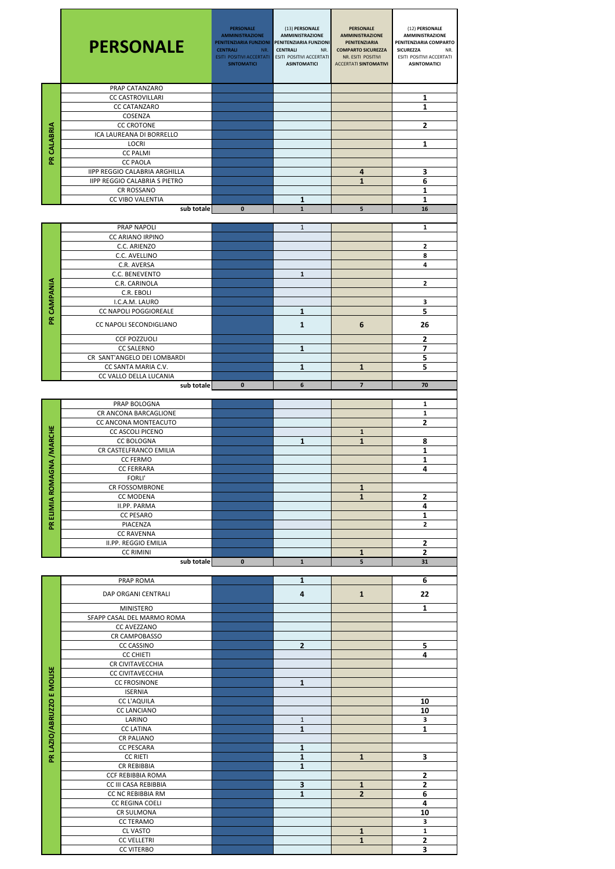|                            | <b>PERSONALE</b>                                   | <b>PERSONALE</b><br><b>AMMINISTRAZIONE</b><br>PENITENZIARIA FUNZIONI<br><b>CENTRALI</b><br>NR.<br><b>ESITI POSITIVI ACCERTATI</b><br><b>SINTOMATICI</b> | (13) PERSONALE<br><b>AMMINISTRAZIONE</b><br>PENITENZIARIA FUNZIONI<br><b>CENTRALI</b><br>NR.<br>ESITI POSITIVI ACCERTATI<br><b>ASINTOMATICI</b> | <b>PERSONALE</b><br><b>AMMINISTRAZIONE</b><br>PENITENZIARIA<br><b>COMPARTO SICUREZZA</b><br>NR. ESITI POSITIVI<br><b>ACCERTATI SINTOMATIVI</b> | (12) PERSONALE<br><b>AMMINISTRAZIONE</b><br>PENITENZIARIA COMPARTO<br><b>SICUREZZA</b><br>NR.<br>ESITI POSITIVI ACCERTATI<br><b>ASINTOMATICI</b> |
|----------------------------|----------------------------------------------------|---------------------------------------------------------------------------------------------------------------------------------------------------------|-------------------------------------------------------------------------------------------------------------------------------------------------|------------------------------------------------------------------------------------------------------------------------------------------------|--------------------------------------------------------------------------------------------------------------------------------------------------|
|                            | PRAP CATANZARO<br><b>CC CASTROVILLARI</b>          |                                                                                                                                                         |                                                                                                                                                 |                                                                                                                                                |                                                                                                                                                  |
|                            | <b>CC CATANZARO</b>                                |                                                                                                                                                         |                                                                                                                                                 |                                                                                                                                                | 1<br>1                                                                                                                                           |
|                            | COSENZA                                            |                                                                                                                                                         |                                                                                                                                                 |                                                                                                                                                |                                                                                                                                                  |
|                            | <b>CC CROTONE</b>                                  |                                                                                                                                                         |                                                                                                                                                 |                                                                                                                                                | $\overline{2}$                                                                                                                                   |
| PR CALABRIA                | ICA LAUREANA DI BORRELLO<br><b>LOCRI</b>           |                                                                                                                                                         |                                                                                                                                                 |                                                                                                                                                | 1                                                                                                                                                |
|                            | <b>CC PALMI</b>                                    |                                                                                                                                                         |                                                                                                                                                 |                                                                                                                                                |                                                                                                                                                  |
|                            | <b>CC PAOLA</b>                                    |                                                                                                                                                         |                                                                                                                                                 |                                                                                                                                                |                                                                                                                                                  |
|                            | <b>IIPP REGGIO CALABRIA ARGHILLA</b>               |                                                                                                                                                         |                                                                                                                                                 | 4                                                                                                                                              | 3                                                                                                                                                |
|                            | <b>IIPP REGGIO CALABRIA S PIETRO</b><br>CR ROSSANO |                                                                                                                                                         |                                                                                                                                                 | $\mathbf{1}$                                                                                                                                   | 6<br>1                                                                                                                                           |
|                            | CC VIBO VALENTIA                                   |                                                                                                                                                         | 1                                                                                                                                               |                                                                                                                                                | $\mathbf{1}$                                                                                                                                     |
|                            | sub totale                                         | $\mathbf{0}$                                                                                                                                            | $\mathbf{1}$                                                                                                                                    | 5                                                                                                                                              | 16                                                                                                                                               |
|                            | PRAP NAPOLI                                        |                                                                                                                                                         | $\mathbf{1}$                                                                                                                                    |                                                                                                                                                | 1                                                                                                                                                |
|                            | <b>CC ARIANO IRPINO</b>                            |                                                                                                                                                         |                                                                                                                                                 |                                                                                                                                                |                                                                                                                                                  |
|                            | C.C. ARIENZO                                       |                                                                                                                                                         |                                                                                                                                                 |                                                                                                                                                | 2                                                                                                                                                |
|                            | C.C. AVELLINO                                      |                                                                                                                                                         |                                                                                                                                                 |                                                                                                                                                | 8                                                                                                                                                |
|                            | C.R. AVERSA<br>C.C. BENEVENTO                      |                                                                                                                                                         | $\mathbf{1}$                                                                                                                                    |                                                                                                                                                | 4                                                                                                                                                |
|                            | C.R. CARINOLA                                      |                                                                                                                                                         |                                                                                                                                                 |                                                                                                                                                | $\mathbf{2}$                                                                                                                                     |
| PR CAMPANIA                | C.R. EBOLI                                         |                                                                                                                                                         |                                                                                                                                                 |                                                                                                                                                |                                                                                                                                                  |
|                            | I.C.A.M. LAURO                                     |                                                                                                                                                         |                                                                                                                                                 |                                                                                                                                                | 3                                                                                                                                                |
|                            | <b>CC NAPOLI POGGIOREALE</b>                       |                                                                                                                                                         | 1                                                                                                                                               |                                                                                                                                                | 5                                                                                                                                                |
|                            | CC NAPOLI SECONDIGLIANO                            |                                                                                                                                                         | 1                                                                                                                                               | 6                                                                                                                                              | 26                                                                                                                                               |
|                            | <b>CCF POZZUOLI</b>                                |                                                                                                                                                         |                                                                                                                                                 |                                                                                                                                                | 2                                                                                                                                                |
|                            | <b>CC SALERNO</b>                                  |                                                                                                                                                         | $\mathbf{1}$                                                                                                                                    |                                                                                                                                                | $\overline{7}$                                                                                                                                   |
|                            | CR SANT'ANGELO DEI LOMBARDI<br>CC SANTA MARIA C.V. |                                                                                                                                                         | $\mathbf{1}$                                                                                                                                    | $\mathbf{1}$                                                                                                                                   | 5<br>5                                                                                                                                           |
|                            | CC VALLO DELLA LUCANIA                             |                                                                                                                                                         |                                                                                                                                                 |                                                                                                                                                |                                                                                                                                                  |
|                            | sub totale                                         | 0                                                                                                                                                       | 6                                                                                                                                               | $\overline{7}$                                                                                                                                 | 70                                                                                                                                               |
|                            | PRAP BOLOGNA                                       |                                                                                                                                                         |                                                                                                                                                 |                                                                                                                                                | 1                                                                                                                                                |
|                            | CR ANCONA BARCAGLIONE                              |                                                                                                                                                         |                                                                                                                                                 |                                                                                                                                                | $\mathbf{1}$                                                                                                                                     |
|                            | CC ANCONA MONTEACUTO                               |                                                                                                                                                         |                                                                                                                                                 |                                                                                                                                                | $\overline{\mathbf{2}}$                                                                                                                          |
| PR ELIMIA ROMAGNA / MARCHE | CC ASCOLI PICENO                                   |                                                                                                                                                         |                                                                                                                                                 | $\mathbf{1}$                                                                                                                                   |                                                                                                                                                  |
|                            | <b>CC BOLOGNA</b><br>CR CASTELFRANCO EMILIA        |                                                                                                                                                         | 1                                                                                                                                               | $\mathbf{1}$                                                                                                                                   | 8<br>$\mathbf 1$                                                                                                                                 |
|                            | <b>CC FERMO</b>                                    |                                                                                                                                                         |                                                                                                                                                 |                                                                                                                                                | 1                                                                                                                                                |
|                            | <b>CC FERRARA</b>                                  |                                                                                                                                                         |                                                                                                                                                 |                                                                                                                                                | 4                                                                                                                                                |
|                            | <b>FORLI'</b><br>CR FOSSOMBRONE                    |                                                                                                                                                         |                                                                                                                                                 | $\mathbf{1}$                                                                                                                                   |                                                                                                                                                  |
|                            | <b>CC MODENA</b>                                   |                                                                                                                                                         |                                                                                                                                                 | $\mathbf{1}$                                                                                                                                   | $\mathbf{2}$                                                                                                                                     |
|                            | II.PP. PARMA                                       |                                                                                                                                                         |                                                                                                                                                 |                                                                                                                                                | 4                                                                                                                                                |
|                            | <b>CC PESARO</b><br>PIACENZA                       |                                                                                                                                                         |                                                                                                                                                 |                                                                                                                                                | $\mathbf{1}$                                                                                                                                     |
|                            | <b>CC RAVENNA</b>                                  |                                                                                                                                                         |                                                                                                                                                 |                                                                                                                                                | $\mathbf{2}$                                                                                                                                     |
|                            | II.PP. REGGIO EMILIA                               |                                                                                                                                                         |                                                                                                                                                 |                                                                                                                                                | 2                                                                                                                                                |
|                            | <b>CC RIMINI</b>                                   |                                                                                                                                                         |                                                                                                                                                 | $\mathbf{1}$                                                                                                                                   | $\overline{2}$                                                                                                                                   |
|                            | sub totale                                         | $\mathbf{0}$                                                                                                                                            | $\mathbf{1}$                                                                                                                                    | 5                                                                                                                                              | 31                                                                                                                                               |
|                            | PRAP ROMA                                          |                                                                                                                                                         | $\mathbf{1}$                                                                                                                                    |                                                                                                                                                | 6                                                                                                                                                |
|                            | DAP ORGANI CENTRALI                                |                                                                                                                                                         | 4                                                                                                                                               | $\mathbf{1}$                                                                                                                                   | 22                                                                                                                                               |
|                            | <b>MINISTERO</b>                                   |                                                                                                                                                         |                                                                                                                                                 |                                                                                                                                                |                                                                                                                                                  |
|                            | SFAPP CASAL DEL MARMO ROMA                         |                                                                                                                                                         |                                                                                                                                                 |                                                                                                                                                | 1                                                                                                                                                |
|                            | CC AVEZZANO                                        |                                                                                                                                                         |                                                                                                                                                 |                                                                                                                                                |                                                                                                                                                  |
|                            | CR CAMPOBASSO                                      |                                                                                                                                                         |                                                                                                                                                 |                                                                                                                                                |                                                                                                                                                  |
|                            | CC CASSINO<br><b>CC CHIETI</b>                     |                                                                                                                                                         | $\overline{2}$                                                                                                                                  |                                                                                                                                                | 5<br>4                                                                                                                                           |
|                            | CR CIVITAVECCHIA                                   |                                                                                                                                                         |                                                                                                                                                 |                                                                                                                                                |                                                                                                                                                  |
| PR LAZIO/ABRUZZO E MOLISE  | <b>CC CIVITAVECCHIA</b>                            |                                                                                                                                                         |                                                                                                                                                 |                                                                                                                                                |                                                                                                                                                  |
|                            | <b>CC FROSINONE</b><br><b>ISERNIA</b>              |                                                                                                                                                         | $\mathbf{1}$                                                                                                                                    |                                                                                                                                                |                                                                                                                                                  |
|                            | <b>CC L'AQUILA</b>                                 |                                                                                                                                                         |                                                                                                                                                 |                                                                                                                                                | 10                                                                                                                                               |
|                            | <b>CC LANCIANO</b>                                 |                                                                                                                                                         |                                                                                                                                                 |                                                                                                                                                | 10                                                                                                                                               |
|                            | LARINO                                             |                                                                                                                                                         | $\mathbf{1}$                                                                                                                                    |                                                                                                                                                | $\mathbf{3}$                                                                                                                                     |
|                            | <b>CC LATINA</b><br><b>CR PALIANO</b>              |                                                                                                                                                         | $\mathbf{1}$                                                                                                                                    |                                                                                                                                                | $\mathbf{1}$                                                                                                                                     |
|                            | <b>CC PESCARA</b>                                  |                                                                                                                                                         | $\mathbf{1}$                                                                                                                                    |                                                                                                                                                |                                                                                                                                                  |
|                            | <b>CC RIETI</b>                                    |                                                                                                                                                         | $\mathbf{1}$                                                                                                                                    | ${\bf 1}$                                                                                                                                      | 3                                                                                                                                                |
|                            | CR REBIBBIA<br>CCF REBIBBIA ROMA                   |                                                                                                                                                         | $\mathbf{1}$                                                                                                                                    |                                                                                                                                                |                                                                                                                                                  |
|                            | CC III CASA REBIBBIA                               |                                                                                                                                                         | $\overline{\mathbf{3}}$                                                                                                                         | $\mathbf{1}$                                                                                                                                   | $\mathbf{2}$<br>$\mathbf{2}$                                                                                                                     |
|                            | CC NC REBIBBIA RM                                  |                                                                                                                                                         | $\mathbf{1}$                                                                                                                                    | $\overline{2}$                                                                                                                                 | $\bf 6$                                                                                                                                          |
|                            | CC REGINA COELI                                    |                                                                                                                                                         |                                                                                                                                                 |                                                                                                                                                | 4                                                                                                                                                |
|                            | CR SULMONA<br><b>CC TERAMO</b>                     |                                                                                                                                                         |                                                                                                                                                 |                                                                                                                                                | 10<br>3                                                                                                                                          |
|                            | CL VASTO                                           |                                                                                                                                                         |                                                                                                                                                 | $\mathbf{1}$                                                                                                                                   | $\mathbf 1$                                                                                                                                      |
|                            | <b>CC VELLETRI</b>                                 |                                                                                                                                                         |                                                                                                                                                 | $\mathbf{1}$                                                                                                                                   | $\mathbf 2$                                                                                                                                      |
|                            | <b>CC VITERBO</b>                                  |                                                                                                                                                         |                                                                                                                                                 |                                                                                                                                                | 3                                                                                                                                                |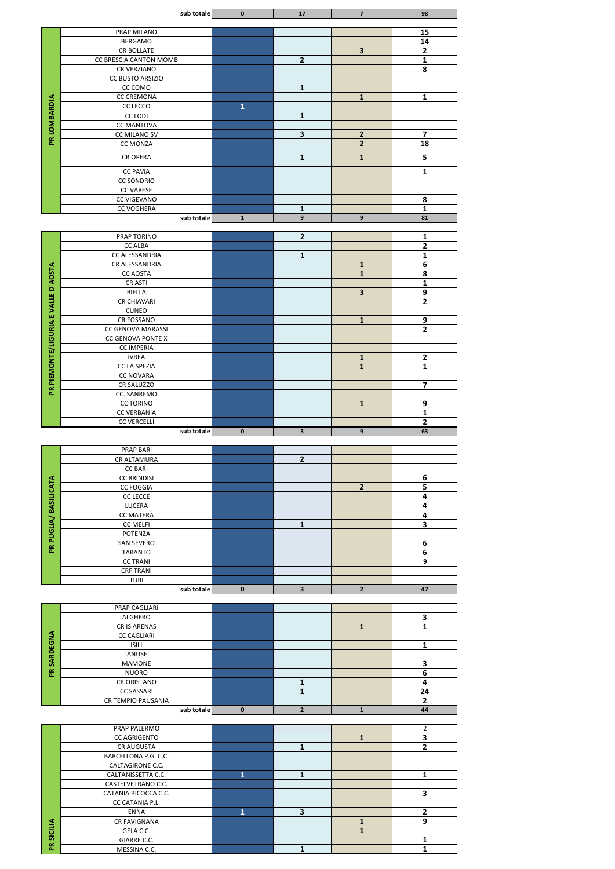|                             | sub totale                               | $\mathbf 0$  | ${\bf 17}$              | $\overline{\mathbf{z}}$     | 98                      |
|-----------------------------|------------------------------------------|--------------|-------------------------|-----------------------------|-------------------------|
|                             | PRAP MILANO                              |              |                         |                             | $\overline{15}$         |
|                             | <b>BERGAMO</b>                           |              |                         |                             | 14                      |
|                             | CR BOLLATE                               |              |                         | $\overline{\mathbf{3}}$     | $\mathbf{2}$            |
|                             | CC BRESCIA CANTON MOMB<br>CR VERZIANO    |              | $\mathbf{2}$            |                             | $\mathbf{1}$<br>8       |
|                             | CC BUSTO ARSIZIO                         |              |                         |                             |                         |
|                             | CC COMO                                  |              | $\mathbf{1}$            |                             |                         |
|                             | <b>CC CREMONA</b>                        |              |                         | $\mathbf{1}$                | $\mathbf{1}$            |
|                             | CC LECCO<br><b>CC LODI</b>               | Ū            | $\mathbf{1}$            |                             |                         |
|                             | <b>CC MANTOVA</b>                        |              |                         |                             |                         |
| PR LOMBARDIA                | CC MILANO SV                             |              | 3                       | $\overline{2}$              | $\overline{\mathbf{z}}$ |
|                             | CC MONZA                                 |              |                         | $\overline{2}$              | 18                      |
|                             | <b>CR OPERA</b>                          |              | $\mathbf 1$             | $\mathbf 1$                 | 5                       |
|                             | <b>CC PAVIA</b>                          |              |                         |                             | 1                       |
|                             | <b>CC SONDRIO</b><br><b>CC VARESE</b>    |              |                         |                             |                         |
|                             | CC VIGEVANO                              |              |                         |                             | 8                       |
|                             | <b>CC VOGHERA</b>                        |              | 1                       |                             | $\mathbf{1}$            |
|                             | sub totale                               | $\mathbf{1}$ | 9                       | $\boldsymbol{9}$            | 81                      |
|                             | PRAP TORINO                              |              | $\overline{2}$          |                             | $\mathbf{1}$            |
|                             | <b>CC ALBA</b>                           |              |                         |                             | $\mathbf{2}$            |
|                             | CC ALESSANDRIA                           |              | $\mathbf{1}$            |                             | $\mathbf{1}$            |
|                             | CR ALESSANDRIA<br><b>CC AOSTA</b>        |              |                         | ${\bf 1}$<br>$\overline{1}$ | 6<br>8                  |
|                             | CR ASTI                                  |              |                         |                             | $\mathbf{1}$            |
| <b>URIA E VALLE D'AOSTA</b> | <b>BIELLA</b>                            |              |                         | $\overline{\mathbf{3}}$     | 9                       |
|                             | <b>CR CHIAVARI</b><br><b>CUNEO</b>       |              |                         |                             | $\mathbf{2}$            |
|                             | CR FOSSANO                               |              |                         | ${\bf 1}$                   | 9                       |
|                             | CC GENOVA MARASSI                        |              |                         |                             | $\overline{2}$          |
|                             | CC GENOVA PONTE X                        |              |                         |                             |                         |
| PR PIEMONTE/LIGI            | <b>CC IMPERIA</b><br><b>IVREA</b>        |              |                         | $\mathbf 1$                 | $\mathbf{2}$            |
|                             | CC LA SPEZIA                             |              |                         | $\overline{\mathbf{1}}$     | $\overline{\mathbf{1}}$ |
|                             | <b>CC NOVARA</b>                         |              |                         |                             |                         |
|                             | CR SALUZZO<br>CC. SANREMO                |              |                         |                             | $\overline{\mathbf{z}}$ |
|                             | <b>CC TORINO</b>                         |              |                         | ${\bf 1}$                   | 9                       |
|                             | <b>CC VERBANIA</b>                       |              |                         |                             | $\mathbf{1}$            |
|                             | <b>CC VERCELLI</b>                       |              |                         |                             | $\overline{2}$          |
|                             |                                          |              |                         |                             |                         |
|                             | sub totale                               | $\bf{0}$     | $\overline{\mathbf{3}}$ | $\boldsymbol{9}$            | 63                      |
|                             | <b>PRAP BARI</b>                         |              |                         |                             |                         |
|                             | CR ALTAMURA                              |              | $\mathbf{2}$            |                             |                         |
|                             | <b>CC BARI</b>                           |              |                         |                             |                         |
|                             | <b>CC BRINDISI</b><br><b>CC FOGGIA</b>   |              |                         | $\overline{2}$              | 6<br>5                  |
|                             | CC LECCE                                 |              |                         |                             | 4                       |
|                             | LUCERA                                   |              |                         |                             | 4                       |
|                             | <b>CC MATERA</b><br>CC MELFI             |              | $\mathbf 1$             |                             | 4<br>3                  |
|                             | POTENZA                                  |              |                         |                             |                         |
|                             | <b>SAN SEVERO</b>                        |              |                         |                             | $\bf 6$                 |
| PR PUGLIA/ BASILICATA       | <b>TARANTO</b><br><b>CC TRANI</b>        |              |                         |                             | 6<br>9                  |
|                             | <b>CRF TRANI</b>                         |              |                         |                             |                         |
|                             | <b>TURI</b>                              |              |                         |                             |                         |
|                             | sub totale                               | $\mathbf 0$  | 3                       | $\overline{2}$              | 47                      |
|                             | PRAP CAGLIARI                            |              |                         |                             |                         |
|                             | <b>ALGHERO</b>                           |              |                         |                             | 3                       |
|                             | CR IS ARENAS                             |              |                         | $\mathbf{1}$                | $\mathbf{1}$            |
|                             | <b>CC CAGLIARI</b><br><b>ISILI</b>       |              |                         |                             | $\mathbf{1}$            |
|                             | LANUSEI                                  |              |                         |                             |                         |
|                             | <b>MAMONE</b>                            |              |                         |                             | 3                       |
| PR SARDEGNA                 | <b>NUORO</b><br>CR ORISTANO              |              | ${\bf 1}$               |                             | 6<br>4                  |
|                             | <b>CC SASSARI</b>                        |              | $\mathbf{1}$            |                             | 24                      |
|                             | CR TEMPIO PAUSANIA                       |              |                         |                             | $\overline{2}$          |
|                             | sub totale                               | $\mathbf 0$  | $\mathbf{2}$            | ${\bf 1}$                   | 44                      |
|                             | PRAP PALERMO                             |              |                         |                             | $\overline{2}$          |
|                             | <b>CC AGRIGENTO</b>                      |              |                         | $\mathbf{1}$                | $\overline{\mathbf{3}}$ |
|                             | CR AUGUSTA                               |              | $\mathbf{1}$            |                             | $\mathbf{2}$            |
|                             | BARCELLONA P.G. C.C.<br>CALTAGIRONE C.C. |              |                         |                             |                         |
|                             | CALTANISSETTA C.C.                       | $\mathbf{1}$ | ${\bf 1}$               |                             | $\mathbf{1}$            |
|                             | CASTELVETRANO C.C.                       |              |                         |                             |                         |
|                             | CATANIA BICOCCA C.C.<br>CC CATANIA P.L.  |              |                         |                             | $\overline{\mathbf{3}}$ |
|                             | <b>ENNA</b>                              | $\mathbf{1}$ | $\overline{\mathbf{3}}$ |                             | $\overline{2}$          |
|                             | CR FAVIGNANA                             |              |                         | $\mathbf{1}$                | 9                       |
| PR SICILIA                  | GELA C.C.<br>GIARRE C.C.                 |              |                         | $\mathbf{1}$                | $\mathbf{1}$            |